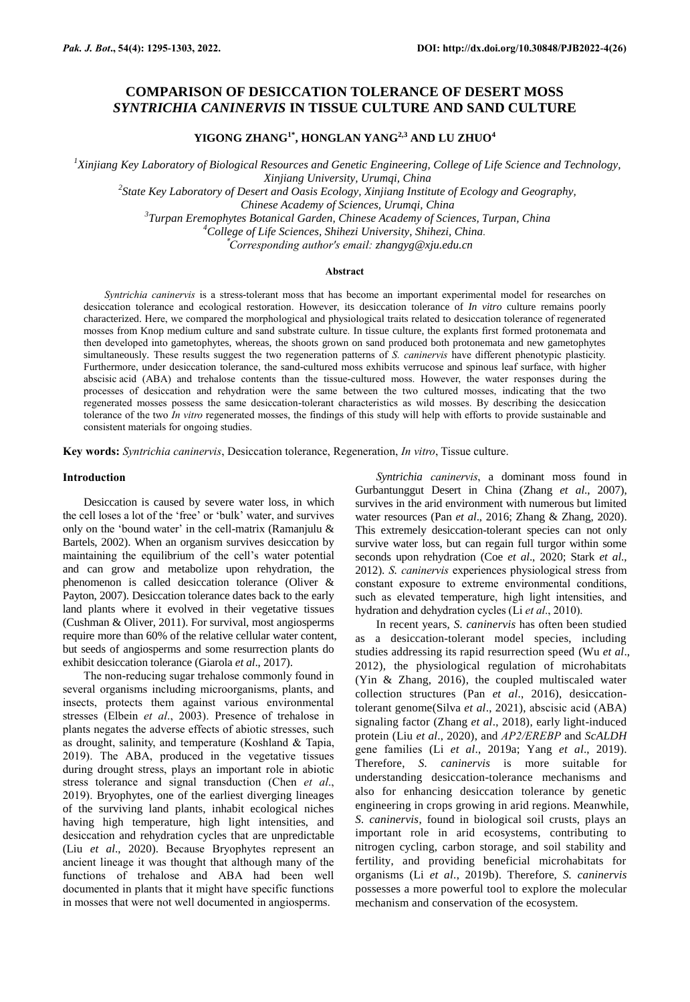# **COMPARISON OF DESICCATION TOLERANCE OF DESERT MOSS**  *SYNTRICHIA CANINERVIS* **IN TISSUE CULTURE AND SAND CULTURE**

**YIGONG ZHANG1\*, HONGLAN YANG2,3 AND LU ZHUO<sup>4</sup>**

*<sup>1</sup>Xinjiang Key Laboratory of Biological Resources and Genetic Engineering, College of Life Science and Technology, Xinjiang University, Urumqi, China*

*2 State Key Laboratory of Desert and Oasis Ecology, Xinjiang Institute of Ecology and Geography,* 

*Chinese Academy of Sciences, Urumqi, China*

*3 Turpan Eremophytes Botanical Garden, Chinese Academy of Sciences, Turpan, China*

*<sup>4</sup>College of Life Sciences, Shihezi University, Shihezi, China.*

\**Corresponding author's email: zhangyg@xju.edu.cn*

# **Abstract**

*Syntrichia caninervis* is a stress-tolerant moss that has become an important experimental model for researches on desiccation tolerance and ecological restoration. However, its desiccation tolerance of *In vitro* culture remains poorly characterized. Here, we compared the morphological and physiological traits related to desiccation tolerance of regenerated mosses from Knop medium culture and sand substrate culture. In tissue culture, the explants first formed protonemata and then developed into gametophytes, whereas, the shoots grown on sand produced both protonemata and new gametophytes simultaneously. These results suggest the two regeneration patterns of *S. caninervis* have different phenotypic plasticity. Furthermore, under desiccation tolerance, the sand-cultured moss exhibits verrucose and spinous leaf surface, with higher abscisic acid (ABA) and trehalose contents than the tissue-cultured moss. However, the water responses during the processes of desiccation and rehydration were the same between the two cultured mosses, indicating that the two regenerated mosses possess the same desiccation-tolerant characteristics as wild mosses. By describing the desiccation tolerance of the two *In vitro* regenerated mosses, the findings of this study will help with efforts to provide sustainable and consistent materials for ongoing studies.

**Key words:** *Syntrichia caninervis*, Desiccation tolerance, Regeneration, *In vitro*, Tissue culture.

### **Introduction**

Desiccation is caused by severe water loss, in which the cell loses a lot of the 'free' or 'bulk' water, and survives only on the 'bound water' in the cell-matrix (Ramanjulu & Bartels, 2002). When an organism survives desiccation by maintaining the equilibrium of the cell's water potential and can grow and metabolize upon rehydration, the phenomenon is called desiccation tolerance (Oliver & Payton, 2007). Desiccation tolerance dates back to the early land plants where it evolved in their vegetative tissues (Cushman & Oliver, 2011). For survival, most angiosperms require more than 60% of the relative cellular water content, but seeds of angiosperms and some resurrection plants do exhibit desiccation tolerance (Giarola *et al*., 2017).

The non-reducing sugar trehalose commonly found in several organisms including microorganisms, plants, and insects, protects them against various environmental stresses (Elbein *et al*., 2003). Presence of trehalose in plants negates the adverse effects of abiotic stresses, such as drought, salinity, and temperature (Koshland & Tapia, 2019). The ABA, produced in the vegetative tissues during drought stress, plays an important role in abiotic stress tolerance and signal transduction (Chen *et al*., 2019). Bryophytes, one of the earliest diverging lineages of the surviving land plants, inhabit ecological niches having high temperature, high light intensities, and desiccation and rehydration cycles that are unpredictable (Liu *et al*., 2020). Because Bryophytes represent an ancient lineage it was thought that although many of the functions of trehalose and ABA had been well documented in plants that it might have specific functions in mosses that were not well documented in angiosperms.

*Syntrichia caninervis*, a dominant moss found in Gurbantunggut Desert in China (Zhang *et al*., 2007), survives in the arid environment with numerous but limited water resources (Pan *et al*., 2016; Zhang & Zhang, 2020). This extremely desiccation-tolerant species can not only survive water loss, but can regain full turgor within some seconds upon rehydration (Coe *et al*., 2020; Stark *et al*., 2012). *S. caninervis* experiences physiological stress from constant exposure to extreme environmental conditions, such as elevated temperature, high light intensities, and hydration and dehydration cycles (Li *et al*., 2010).

In recent years, *S. caninervis* has often been studied as a desiccation-tolerant model species, including studies addressing its rapid resurrection speed (Wu *et al*., 2012), the physiological regulation of microhabitats (Yin & Zhang, 2016), the coupled multiscaled water collection structures (Pan *et al*., 2016), desiccationtolerant genome(Silva *et al*., 2021), abscisic acid (ABA) signaling factor (Zhang *et al*., 2018), early light-induced protein (Liu *et al*., 2020), and *AP2/EREBP* and *ScALDH* gene families (Li *et al*., 2019a; Yang *et al*., 2019). Therefore, *S. caninervis* is more suitable for understanding desiccation-tolerance mechanisms and also for enhancing desiccation tolerance by genetic engineering in crops growing in arid regions. Meanwhile, *S. caninervis*, found in biological soil crusts, plays an important role in arid ecosystems, contributing to nitrogen cycling, carbon storage, and soil stability and fertility, and providing beneficial microhabitats for organisms (Li *et al*., 2019b). Therefore, *S. caninervis* possesses a more powerful tool to explore the molecular mechanism and conservation of the ecosystem.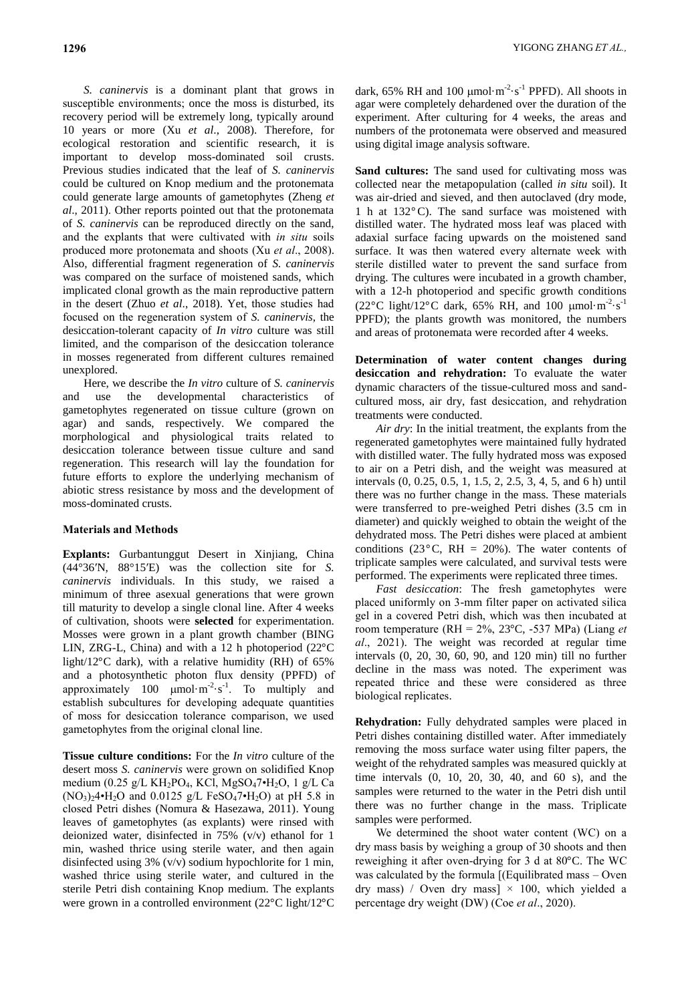*S. caninervis* is a dominant plant that grows in [susceptible environments;](https://xueshu.baidu.com/usercenter/paper/show?paperid=dbd52400b5341ed9d9a19ab939449379&site=xueshu_se) once the moss is disturbed, its recovery period will be extremely long, typically around 10 years or more (Xu *et al*., 2008). Therefore, for ecological restoration and scientific research, it is important to develop moss-dominated soil crusts. Previous studies indicated that the leaf of *S. caninervis* could be cultured on Knop medium and the protonemata could generate large amounts of gametophytes (Zheng *et al*., 2011). Other reports pointed out that the protonemata of *S. caninervis* can be reproduced directly on the sand, and the explants that were cultivated with *in situ* soils produced more protonemata and shoots (Xu *et al*., 2008). Also, differential fragment regeneration of *S. caninervis* was compared on the surface of moistened sands, which implicated clonal growth as the main reproductive pattern in the desert (Zhuo *et al*., 2018). Yet, those studies had focused on the regeneration system of *S. caninervis*, the desiccation-tolerant capacity of *In vitro* culture was still limited, and the comparison of the desiccation tolerance in mosses regenerated from different cultures remained unexplored.

Here, we describe the *In vitro* culture of *S. caninervis* and use the developmental characteristics of gametophytes regenerated on tissue culture (grown on agar) and sands, respectively. We compared the morphological and physiological traits related to desiccation tolerance between tissue culture and sand regeneration. This research will lay the foundation for future efforts to explore the underlying mechanism of abiotic stress resistance by moss and the development of moss-dominated crusts.

# **Materials and Methods**

**Explants:** Gurbantunggut Desert in Xinjiang, China (44°36′N, 88°15′E) was the collection site for *S. caninervis* individuals. In this study, we raised a minimum of three asexual generations that were grown till maturity to develop a single clonal line. After 4 weeks of cultivation, shoots were **selected** for experimentation. Mosses were grown in a plant growth chamber (BING LIN, ZRG-L, China) and with a 12 h photoperiod  $(22^{\circ}C)$ light/12 $^{\circ}$ C dark), with a relative humidity (RH) of 65% and a photosynthetic photon flux density (PPFD) of approximately 100  $\mu$ mol·m<sup>-2</sup>·s<sup>-1</sup>. To multiply and establish subcultures for developing adequate quantities of moss for desiccation tolerance comparison, we used gametophytes from the original clonal line.

**Tissue culture conditions:** For the *In vitro* culture of the desert moss *S. caninervis* were grown on solidified Knop medium (0.25 g/L KH<sub>2</sub>PO<sub>4</sub>, KCl, MgSO<sub>4</sub>7•H<sub>2</sub>O, 1 g/L Ca  $(NO_3)_24 \cdot H_2O$  and 0.0125 g/L FeSO<sub>4</sub>7 $\cdot H_2O$ ) at pH 5.8 in closed Petri dishes (Nomura & Hasezawa, 2011). Young leaves of gametophytes (as explants) were rinsed with deionized water, disinfected in 75% (v/v) ethanol for 1 min, washed thrice using sterile water, and then again disinfected using 3% (v/v) sodium hypochlorite for 1 min, washed thrice using sterile water, and cultured in the sterile Petri dish containing Knop medium. The explants were grown in a controlled environment (22°C light/12°C

dark, 65% RH and 100  $\mu$ mol·m<sup>-2</sup>·s<sup>-1</sup> PPFD). All shoots in agar were completely dehardened over the duration of the experiment. After culturing for 4 weeks, the areas and numbers of the protonemata were observed and measured using digital image analysis software.

Sand cultures: The sand used for cultivating moss was collected near the metapopulation (called *in situ* soil). It was air-dried and sieved, and then autoclaved (dry mode, 1 h at  $132^{\circ}$ C). The sand surface was moistened with distilled water. The hydrated moss leaf was placed with adaxial surface facing upwards on the moistened sand surface. It was then watered every alternate week with sterile distilled water to prevent the sand surface from drying. The cultures were incubated in a growth chamber, with a 12-h photoperiod and specific growth conditions (22°C light/12°C dark, 65% RH, and 100  $\mu$ mol·m<sup>-2</sup>·s<sup>-1</sup> PPFD); the plants growth was monitored, the numbers and areas of protonemata were recorded after 4 weeks.

**Determination of water content changes during desiccation and rehydration:** To evaluate the water dynamic characters of the tissue-cultured moss and sandcultured moss, air dry, fast desiccation, and rehydration treatments were conducted.

*Air dry*: In the initial treatment, the explants from the regenerated gametophytes were maintained fully hydrated with distilled water. The fully hydrated moss was exposed to air on a Petri dish, and the weight was measured at intervals (0, 0.25, 0.5, 1, 1.5, 2, 2.5, 3, 4, 5, and 6 h) until there was no further change in the mass. These materials were transferred to pre-weighed Petri dishes (3.5 cm in diameter) and quickly weighed to obtain the weight of the dehydrated moss. The Petri dishes were placed at ambient conditions (23 $^{\circ}$ C, RH = 20%). The water contents of triplicate samples were calculated, and survival tests were performed. The experiments were replicated three times.

*Fast desiccation*: The fresh gametophytes were placed uniformly on 3-mm filter paper on activated silica gel in a covered Petri dish, which was then incubated at room temperature (RH = 2%, 23°C, -537 MPa) (Liang *et al*., 2021). The weight was recorded at regular time intervals (0, 20, 30, 60, 90, and 120 min) till no further decline in the mass was noted. The experiment was repeated thrice and these were considered as three biological replicates.

**Rehydration:** Fully dehydrated samples were placed in Petri dishes containing distilled water. After immediately removing the moss surface water using filter papers, the weight of the rehydrated samples was measured quickly at time intervals (0, 10, 20, 30, 40, and 60 s), and the samples were returned to the water in the Petri dish until there was no further change in the mass. Triplicate samples were performed.

We determined the shoot water content (WC) on a dry mass basis by weighing a group of 30 shoots and then reweighing it after oven-drying for 3 d at 80°C. The WC was calculated by the formula [(Equilibrated mass – Oven dry mass) / Oven dry mass]  $\times$  100, which yielded a percentage dry weight (DW) (Coe *et al*., 2020).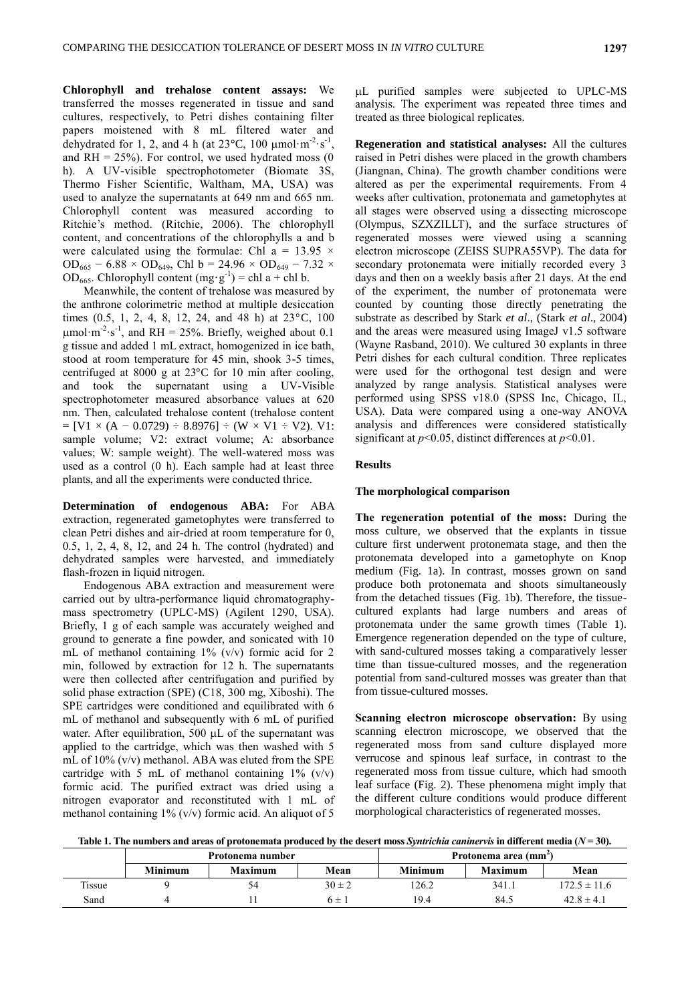**Chlorophyll and trehalose content assays:** We transferred the mosses regenerated in tissue and sand cultures, respectively, to Petri dishes containing filter papers moistened with 8 mL filtered water and dehydrated for 1, 2, and 4 h (at  $23^{\circ}$ C, 100  $\mu$ mol·m<sup>-2</sup>·s<sup>-1</sup>, and  $RH = 25\%$ ). For control, we used hydrated moss (0 h). A UV-visible spectrophotometer (Biomate 3S, Thermo Fisher Scientific, Waltham, MA, USA) was used to analyze the supernatants at 649 nm and 665 nm. Chlorophyll content was measured according to Ritchie's method. (Ritchie, 2006). The chlorophyll content, and concentrations of the chlorophylls a and b were calculated using the formulae: Chl a =  $13.95 \times$ OD<sub>665</sub> – 6.88 × OD<sub>649</sub>, Chl b = 24.96 × OD<sub>649</sub> – 7.32 × OD<sub>665</sub>. Chlorophyll content  $(mg \cdot g^{-1}) = chl a + chl b$ .

Meanwhile, the content of trehalose was measured by the anthrone colorimetric method at multiple desiccation times  $(0.5, 1, 2, 4, 8, 12, 24, and 48 h)$  at  $23^{\circ}$ C, 100  $\mu$ mol·m<sup>-2</sup>·s<sup>-1</sup>, and RH = 25%. Briefly, weighed about 0.1 g tissue and added 1 mL extract, homogenized in ice bath, stood at room temperature for 45 min, shook 3-5 times, centrifuged at 8000 g at  $23^{\circ}$ C for 10 min after cooling, and took the supernatant using a UV-Visible spectrophotometer measured absorbance values at 620 nm. Then, calculated trehalose content (trehalose content  $=[V1 \times (A - 0.0729) \div 8.8976] \div (W \times V1 \div V2)$ . V1: sample volume; V2: extract volume; A: absorbance values; W: sample weight). The well-watered moss was used as a control (0 h). Each sample had at least three plants, and all the experiments were conducted thrice.

**Determination of endogenous ABA:** For ABA extraction, regenerated gametophytes were transferred to clean Petri dishes and air-dried at room temperature for 0, 0.5, 1, 2, 4, 8, 12, and 24 h. The control (hydrated) and dehydrated samples were harvested, and immediately flash-frozen in liquid nitrogen.

Endogenous ABA extraction and measurement were carried out by ultra-performance liquid chromatographymass spectrometry (UPLC-MS) (Agilent 1290, USA). Briefly, 1 g of each sample was accurately weighed and ground to generate a fine powder, and sonicated with 10 mL of methanol containing 1% (v/v) formic acid for 2 min, followed by extraction for 12 h. The supernatants were then collected after centrifugation and purified by solid phase extraction (SPE) (C18, 300 mg, Xiboshi). The SPE cartridges were conditioned and equilibrated with 6 mL of methanol and subsequently with 6 mL of purified water. After equilibration, 500  $\mu$ L of the supernatant was applied to the cartridge, which was then washed with 5 mL of 10% (v/v) methanol. ABA was eluted from the SPE cartridge with 5 mL of methanol containing  $1\%$  (v/v) formic acid. The purified extract was dried using a nitrogen evaporator and reconstituted with 1 mL of methanol containing  $1\%$  (v/v) formic acid. An aliquot of 5

L purified samples were subjected to UPLC-MS analysis. The experiment was repeated three times and treated as three biological replicates.

**Regeneration and statistical analyses:** All the cultures raised in Petri dishes were placed in the growth chambers (Jiangnan, China). The growth chamber conditions were altered as per the experimental requirements. From 4 weeks after cultivation, protonemata and gametophytes at all stages were observed using a dissecting microscope (Olympus, SZXZILLT), and the surface structures of regenerated mosses were viewed using a scanning electron microscope (ZEISS SUPRA55VP). The data for secondary protonemata were initially recorded every 3 days and then on a weekly basis after 21 days. At the end of the experiment, the number of protonemata were counted by counting those directly penetrating the substrate as described by Stark *et al*., (Stark *et al*., 2004) and the areas were measured using ImageJ v1.5 software (Wayne Rasband, 2010). We cultured 30 explants in three Petri dishes for each cultural condition. Three replicates were used for the orthogonal test design and were analyzed by range analysis. Statistical analyses were performed using SPSS v18.0 (SPSS Inc, Chicago, IL, USA). Data were compared using a one-way ANOVA analysis and differences were considered statistically significant at *p*<0.05, distinct differences at *p*<0.01.

# **Results**

### **The morphological comparison**

**The regeneration potential of the moss:** During the moss culture, we observed that the explants in tissue culture first underwent protonemata stage, and then the protonemata developed into a gametophyte on Knop medium (Fig. 1a). In contrast, mosses grown on sand produce both protonemata and shoots simultaneously from the detached tissues (Fig. 1b). Therefore, the tissuecultured explants had large numbers and areas of protonemata under the same growth times (Table 1). Emergence regeneration depended on the type of culture, with sand-cultured mosses taking a comparatively lesser time than tissue-cultured mosses, and the regeneration potential from sand-cultured mosses was greater than that from tissue-cultured mosses.

**Scanning electron microscope observation:** By using scanning electron microscope, we observed that the regenerated moss from sand culture displayed more verrucose and spinous leaf surface, in contrast to the regenerated moss from tissue culture, which had smooth leaf surface (Fig. 2). These phenomena might imply that the different culture conditions would produce different morphological characteristics of regenerated mosses.

**Table 1. The numbers and areas of protonemata produced by the desert moss** *Syntrichia caninervis* **in different media (***N* **= 30).**

|        | Protonema number |                |            | Protonema area (mm <sup>-</sup> ) |                |                  |
|--------|------------------|----------------|------------|-----------------------------------|----------------|------------------|
|        | Minimum          | <b>Maximum</b> | Mean       | Minimum                           | <b>Maximum</b> | Mean             |
| Tissue |                  | 54             | $30 \pm 2$ | 126.2                             | 341.1          | $172.5 \pm 11.6$ |
| Sand   |                  |                | 6 ±        | 19.4                              | 84.5           | $42.8 \pm 4.1$   |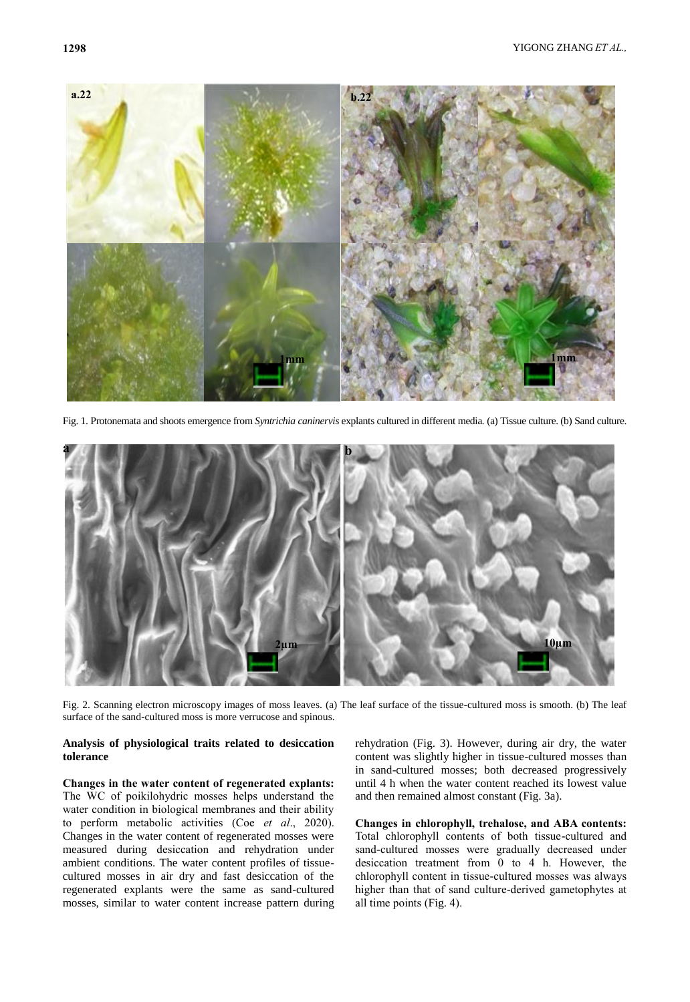

Fig. 1. Protonemata and shoots emergence from *Syntrichia caninervis* explants cultured in different media*.* (a) Tissue culture. (b) Sand culture.



Fig. 2. Scanning electron microscopy images of moss leaves. (a) The leaf surface of the tissue-cultured moss is smooth. (b) The leaf surface of the sand-cultured moss is more verrucose and spinous.

# **Analysis of physiological traits related to desiccation tolerance**

# **Changes in the water content of regenerated explants:**

The WC of poikilohydric mosses helps understand the water condition in biological membranes and their ability to perform metabolic activities (Coe *et al*., 2020). Changes in the water content of regenerated mosses were measured during desiccation and rehydration under ambient conditions. The water content profiles of tissuecultured mosses in air dry and fast desiccation of the regenerated explants were the same as sand-cultured mosses, similar to water content increase pattern during

rehydration (Fig. 3). However, during air dry, the water content was slightly higher in tissue-cultured mosses than in sand-cultured mosses; both decreased progressively until 4 h when the water content reached its lowest value and then remained almost constant (Fig. 3a).

**Changes in chlorophyll, trehalose, and ABA contents:**  Total chlorophyll contents of both tissue-cultured and sand-cultured mosses were gradually decreased under desiccation treatment from 0 to 4 h. However, the chlorophyll content in tissue-cultured mosses was always higher than that of sand culture-derived gametophytes at all time points (Fig. 4).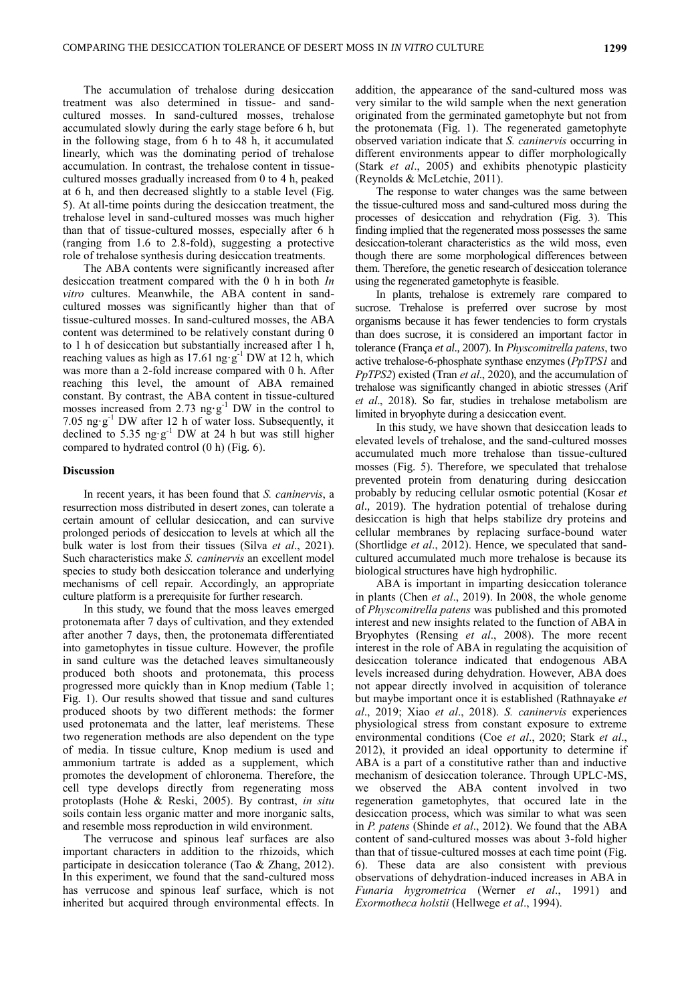The accumulation of trehalose during desiccation treatment was also determined in tissue- and sandcultured mosses. In sand-cultured mosses, trehalose accumulated slowly during the early stage before 6 h, but in the following stage, from 6 h to 48 h, it accumulated linearly, which was the dominating period of trehalose accumulation. In contrast, the trehalose content in tissuecultured mosses gradually increased from 0 to 4 h, peaked at 6 h, and then decreased slightly to a stable level (Fig. 5). At all-time points during the desiccation treatment, the trehalose level in sand-cultured mosses was much higher than that of tissue-cultured mosses, especially after 6 h (ranging from 1.6 to 2.8-fold), suggesting a protective role of trehalose synthesis during desiccation treatments.

The ABA contents were significantly increased after desiccation treatment compared with the 0 h in both *In vitro* cultures. Meanwhile, the ABA content in sandcultured mosses was significantly higher than that of tissue-cultured mosses. In sand-cultured mosses, the ABA content was determined to be relatively constant during 0 to 1 h of desiccation but substantially increased after 1 h, reaching values as high as 17.61 ng $\cdot$ g<sup>-1</sup> DW at 12 h, which was more than a 2-fold increase compared with 0 h. After reaching this level, the amount of ABA remained constant. By contrast, the ABA content in tissue-cultured mosses increased from 2.73 ng $\cdot$ g<sup>-1</sup> DW in the control to 7.05  $ng·g<sup>-1</sup> DW$  after 12 h of water loss. Subsequently, it declined to 5.35  $ng·g<sup>-1</sup>$  DW at 24 h but was still higher compared to hydrated control (0 h) (Fig. 6).

## **Discussion**

In recent years, it has been found that *S. caninervis*, a resurrection moss distributed in desert zones, can tolerate a certain amount of cellular desiccation, and can survive prolonged periods of desiccation to levels at which all the bulk water is lost from their tissues (Silva *et al*., 2021). Such characteristics make *S. caninervis* an excellent model species to study both desiccation tolerance and underlying mechanisms of cell repair. Accordingly, an appropriate culture platform is a prerequisite for further research.

In this study, we found that the moss leaves emerged protonemata after 7 days of cultivation, and they extended after another 7 days, then, the protonemata differentiated into gametophytes in tissue culture. However, the profile in sand culture was the detached leaves simultaneously produced both shoots and protonemata, this process progressed more quickly than in Knop medium (Table 1; Fig. 1). Our results showed that tissue and sand cultures produced shoots by two different methods: the former used protonemata and the latter, leaf meristems. These two regeneration methods are also dependent on the type of media. In tissue culture, Knop medium is used and ammonium tartrate is added as a supplement, which promotes the development of chloronema. Therefore, the cell type develops directly from regenerating moss protoplasts (Hohe & Reski, 2005). By contrast, *in situ* soils contain less organic matter and more inorganic salts, and resemble moss reproduction in wild environment.

The verrucose and spinous leaf surfaces are also important characters in addition to the rhizoids, which participate in desiccation tolerance (Tao & Zhang, 2012). In this experiment, we found that the sand-cultured moss has verrucose and spinous leaf surface, which is not inherited but acquired through environmental effects. In

addition, the appearance of the sand-cultured moss was very similar to the wild sample when the next generation originated from the germinated gametophyte but not from the protonemata (Fig. 1). The regenerated gametophyte observed variation indicate that *S. caninervis* occurring in different environments appear to differ morphologically (Stark *et al*., 2005) and exhibits phenotypic plasticity (Reynolds & McLetchie, 2011).

The response to water changes was the same between the tissue-cultured moss and sand-cultured moss during the processes of desiccation and rehydration (Fig. 3). This finding implied that the regenerated moss possesses the same desiccation-tolerant characteristics as the wild moss, even though there are some morphological differences between them. Therefore, the genetic research of desiccation tolerance using the regenerated gametophyte is feasible.

In plants, trehalose is extremely rare compared to sucrose. Trehalose is preferred over sucrose by most organisms because it has fewer tendencies to form crystals than does sucrose, it is considered an important factor in tolerance (França *et al*., 2007). In *Physcomitrella patens*, two active trehalose-6-phosphate synthase enzymes (*PpTPS1* and *PpTPS2*) existed (Tran *et al*., 2020), and the accumulation of trehalose was significantly changed in abiotic stresses (Arif *et al*., 2018). So far, studies in trehalose metabolism are limited in bryophyte during a desiccation event.

In this study, we have shown that desiccation leads to elevated levels of trehalose, and the sand-cultured mosses accumulated much more trehalose than tissue-cultured mosses (Fig. 5). Therefore, we speculated that trehalose prevented protein from denaturing during desiccation probably by reducing cellular osmotic potential (Kosar *et al*., 2019). The hydration potential of trehalose during desiccation is high that helps stabilize dry proteins and cellular membranes by replacing surface-bound water (Shortlidge *et al*., 2012). Hence, we speculated that sandcultured accumulated much more trehalose is because its biological structures have high hydrophilic.

ABA is important in imparting desiccation tolerance in plants (Chen *et al*., 2019). In 2008, the whole genome of *Physcomitrella patens* was published and this promoted interest and new insights related to the function of ABA in Bryophytes (Rensing *et al*., 2008). The more recent interest in the role of ABA in regulating the acquisition of desiccation tolerance indicated that endogenous ABA levels increased during dehydration. However, ABA does not appear directly involved in acquisition of tolerance but maybe important once it is established (Rathnayake *et al*., 2019; Xiao *et al*., 2018). *S. caninervis* experiences physiological stress from constant exposure to extreme environmental conditions (Coe *et al*., 2020; Stark *et al*., 2012), it provided an ideal opportunity to determine if ABA is a part of a constitutive rather than and inductive mechanism of desiccation tolerance. Through UPLC-MS, we observed the ABA content involved in two regeneration gametophytes, that occured late in the desiccation process, which was similar to what was seen in *P. patens* (Shinde *et al*., 2012). We found that the ABA content of sand-cultured mosses was about 3-fold higher than that of tissue-cultured mosses at each time point (Fig. 6). These data are also consistent with previous observations of dehydration-induced increases in ABA in *Funaria hygrometrica* (Werner *et al*., 1991) and *Exormotheca holstii* (Hellwege *et al*., 1994).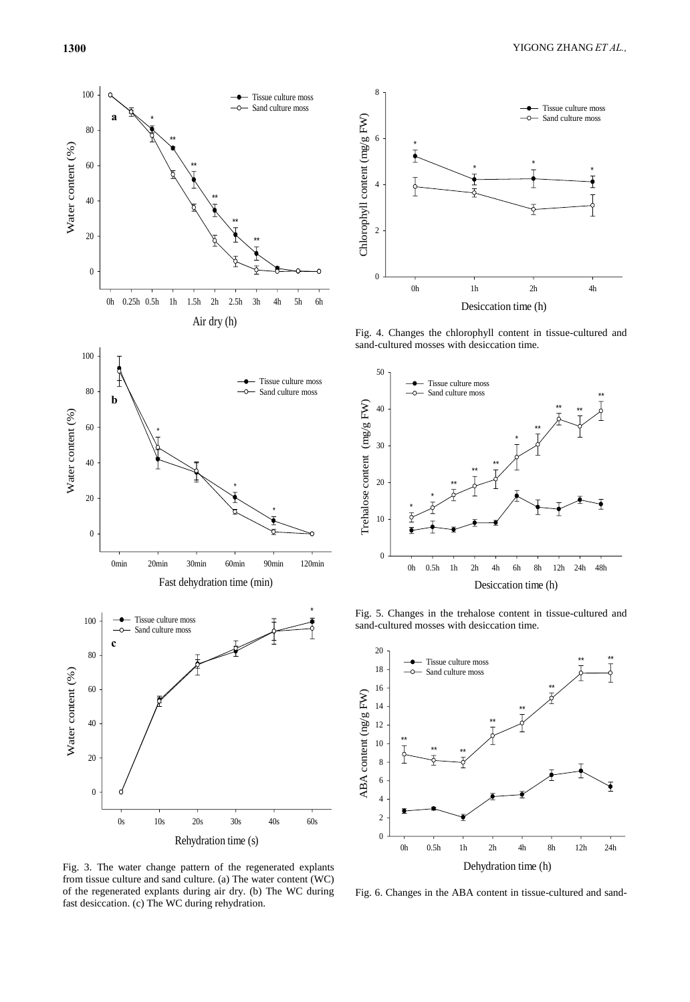





6

Fig. 3. The water change pattern of the regenerated explants from tissue culture and sand culture. (a) The water content (WC) of the regenerated explants during air dry. (b) The WC during fast desiccation. (c) The WC during rehydration.



Fig. 4. Changes the chlorophyll content in tissue-cultured and sand-cultured mosses with desiccation time.



Fig. 5. Changes in the trehalose content in tissue-cultured and sand-cultured mosses with desiccation time.



Fig. 6. Changes in the ABA content in tissue-cultured and sand-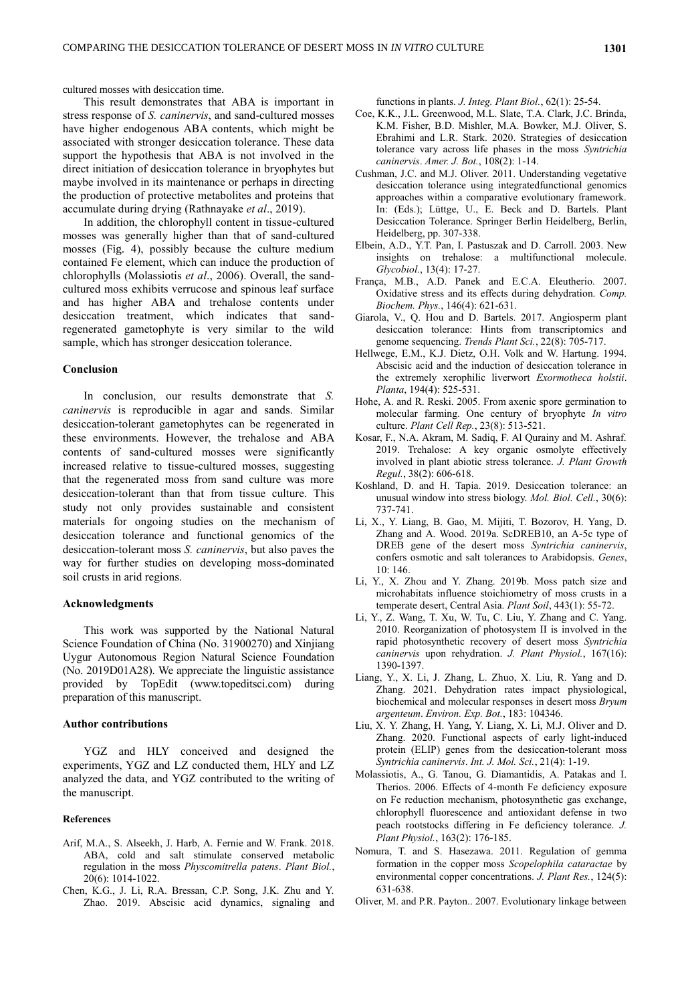cultured mosses with desiccation time.

This result demonstrates that ABA is important in stress response of *S. caninervis*, and sand-cultured mosses have higher endogenous ABA contents, which might be associated with stronger desiccation tolerance. These data support the hypothesis that ABA is not involved in the direct initiation of desiccation tolerance in bryophytes but maybe involved in its maintenance or perhaps in directing the production of protective metabolites and proteins that accumulate during drying (Rathnayake *et al*., 2019).

In addition, the chlorophyll content in tissue-cultured mosses was generally higher than that of sand-cultured mosses (Fig. 4), possibly because the culture medium contained Fe element, which can induce the production of chlorophylls (Molassiotis *et al*., 2006). Overall, the sandcultured moss exhibits verrucose and spinous leaf surface and has higher ABA and trehalose contents under desiccation treatment, which indicates that sandregenerated gametophyte is very similar to the wild sample, which has stronger desiccation tolerance.

## **Conclusion**

In conclusion, our results demonstrate that *S. caninervis* is reproducible in agar and sands. Similar desiccation-tolerant gametophytes can be regenerated in these environments. However, the trehalose and ABA contents of sand-cultured mosses were significantly increased relative to tissue-cultured mosses, suggesting that the regenerated moss from sand culture was more desiccation-tolerant than that from tissue culture. This study not only provides sustainable and consistent materials for ongoing studies on the mechanism of desiccation tolerance and functional genomics of the desiccation-tolerant moss *S. caninervis*, but also paves the way for further studies on developing moss-dominated soil crusts in arid regions.

## **Acknowledgments**

This work was supported by the National Natural Science Foundation of China (No. 31900270) and Xinjiang Uygur Autonomous Region Natural Science Foundation (No. 2019D01A28). We appreciate the linguistic assistance provided by TopEdit (www.topeditsci.com) during preparation of this manuscript.

### **Author contributions**

YGZ and HLY conceived and designed the experiments, YGZ and LZ conducted them, HLY and LZ analyzed the data, and YGZ contributed to the writing of the manuscript.

## **References**

- Arif, M.A., S. Alseekh, J. Harb, A. Fernie and W. Frank. 2018. ABA, cold and salt stimulate conserved metabolic regulation in the moss *Physcomitrella patens*. *Plant Biol.*, 20(6): 1014-1022.
- Chen, K.G., J. Li, R.A. Bressan, C.P. Song, J.K. Zhu and Y. Zhao. 2019. Abscisic acid dynamics, signaling and

functions in plants. *J. Integ. Plant Biol.*, 62(1): 25-54.

- Coe, K.K., J.L. Greenwood, M.L. Slate, T.A. Clark, J.C. Brinda, K.M. Fisher, B.D. Mishler, M.A. Bowker, M.J. Oliver, S. Ebrahimi and L.R. Stark. 2020. Strategies of desiccation tolerance vary across life phases in the moss *Syntrichia caninervis*. *Amer. J. Bot.*, 108(2): 1-14.
- Cushman, J.C. and M.J. Oliver. 2011. Understanding vegetative desiccation tolerance using integratedfunctional genomics approaches within a comparative evolutionary framework. In: (Eds.); Lüttge, U., E. Beck and D. Bartels. Plant Desiccation Tolerance. Springer Berlin Heidelberg, Berlin, Heidelberg, pp. 307-338.
- Elbein, A.D., Y.T. Pan, I. Pastuszak and D. Carroll. 2003. New insights on trehalose: a multifunctional molecule. *Glycobiol.*, 13(4): 17-27.
- França, M.B., A.D. Panek and E.C.A. Eleutherio. 2007. Oxidative stress and its effects during dehydration. *Comp. Biochem. Phys.*, 146(4): 621-631.
- Giarola, V., Q. Hou and D. Bartels. 2017. Angiosperm plant desiccation tolerance: Hints from transcriptomics and genome sequencing. *Trends Plant Sci.*, 22(8): 705-717.
- Hellwege, E.M., K.J. Dietz, O.H. Volk and W. Hartung. 1994. Abscisic acid and the induction of desiccation tolerance in the extremely xerophilic liverwort *Exormotheca holstii*. *Planta*, 194(4): 525-531.
- Hohe, A. and R. Reski. 2005. From axenic spore germination to molecular farming. One century of bryophyte *In vitro* culture. *Plant Cell Rep.*, 23(8): 513-521.
- Kosar, F., N.A. Akram, M. Sadiq, F. Al Qurainy and M. Ashraf. 2019. Trehalose: A key organic osmolyte effectively involved in plant abiotic stress tolerance. *J. Plant Growth Regul.*, 38(2): 606-618.
- Koshland, D. and H. Tapia. 2019. Desiccation tolerance: an unusual window into stress biology. *Mol. Biol. Cell.*, 30(6): 737-741.
- Li, X., Y. Liang, B. Gao, M. Mijiti, T. Bozorov, H. Yang, D. Zhang and A. Wood. 2019a. ScDREB10, an A-5c type of DREB gene of the desert moss *Syntrichia caninervis*, confers osmotic and salt tolerances to Arabidopsis. *Genes*, 10: 146.
- Li, Y., X. Zhou and Y. Zhang. 2019b. Moss patch size and microhabitats influence stoichiometry of moss crusts in a temperate desert, Central Asia. *Plant Soil*, 443(1): 55-72.
- Li, Y., Z. Wang, T. Xu, W. Tu, C. Liu, Y. Zhang and C. Yang. 2010. Reorganization of photosystem II is involved in the rapid photosynthetic recovery of desert moss *Syntrichia caninervis* upon rehydration. *J. Plant Physiol.*, 167(16): 1390-1397.
- Liang, Y., X. Li, J. Zhang, L. Zhuo, X. Liu, R. Yang and D. Zhang. 2021. Dehydration rates impact physiological, biochemical and molecular responses in desert moss *Bryum argenteum*. *Environ. Exp. Bot.*, 183: 104346.
- Liu, X. Y. Zhang, H. Yang, Y. Liang, X. Li, M.J. Oliver and D. Zhang. 2020. Functional aspects of early light-induced protein (ELIP) genes from the desiccation-tolerant moss *Syntrichia caninervis*. *Int. J. Mol. Sci.*, 21(4): 1-19.
- Molassiotis, A., G. Tanou, G. Diamantidis, A. Patakas and I. Therios. 2006. Effects of 4-month Fe deficiency exposure on Fe reduction mechanism, photosynthetic gas exchange, chlorophyll fluorescence and antioxidant defense in two peach rootstocks differing in Fe deficiency tolerance. *J. Plant Physiol.*, 163(2): 176-185.
- Nomura, T. and S. Hasezawa. 2011. Regulation of gemma formation in the copper moss *Scopelophila cataractae* by environmental copper concentrations. *J. Plant Res.*, 124(5): 631-638.
- Oliver, M. and P.R. Payton.. 2007. Evolutionary linkage between